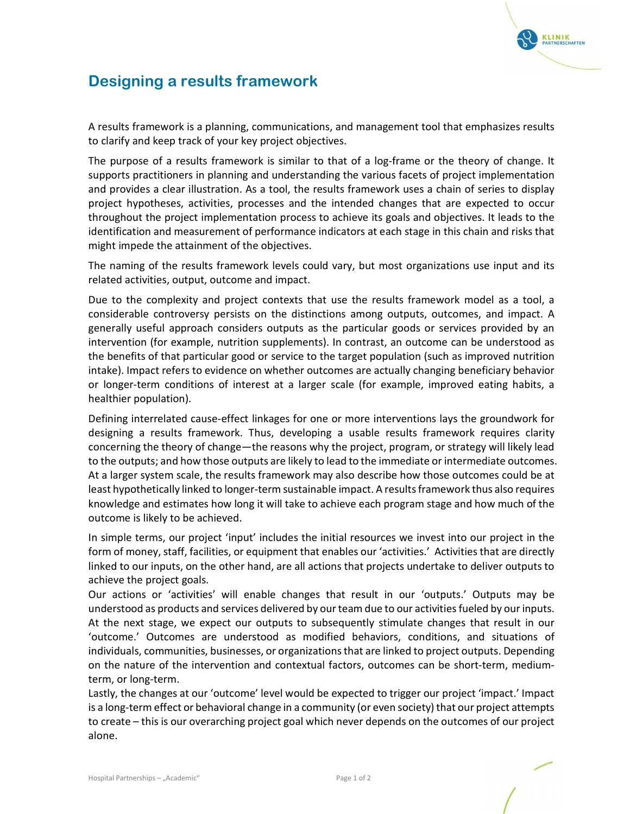

## Designing a results framework

A results framework is a planning, communications, and management tool that emphasizes results to clarify and keep track of your key project objectives.

The purpose of a results framework is similar to that of a log-frame or the theory of change. It supports practitioners in planning and understanding the various facets of project implementation and provides a clear illustration. As a tool, the results framework uses a chain of series to display project hypotheses, activities, processes and the intended changes that are expected to occur throughout the project implementation process to achieve its goals and objectives. It leads to the identification and measurement of performance indicators at each stage in this chain and risks that might impede the attainment of the objectives.

The naming of the results framework levels could vary, but most organizations use input and its related activities, output, outcome and impact.

Due to the complexity and project contexts that use the results framework model as a tool, a considerable controversy persists on the distinctions among outputs, outcomes, and impact. A generally useful approach considers outputs as the particular goods or services provided by an intervention (for example, nutrition supplements). In contrast, an outcome can be understood as the benefits of that particular good or service to the target population (such as improved nutrition intake). Impact refers to evidence on whether outcomes are actually changing beneficiary behavior or longer-term conditions of interest at a larger scale (for example, improved eating habits, a healthier population).

Defining interrelated cause-effect linkages for one or more interventions lays the groundwork for designing a results framework. Thus, developing a usable results framework requires clarity concerning the theory of change—the reasons why the project, program, or strategy will likely lead to the outputs; and how those outputs are likely to lead to the immediate or intermediate outcomes. At a larger system scale, the results framework may also describe how those outcomes could be at least hypothetically linked to longer-term sustainable impact. A results framework thus also requires knowledge and estimates how long it will take to achieve each program stage and how much of the outcome is likely to be achieved.

In simple terms, our project 'input' includes the initial resources we invest into our project in the form of money, staff, facilities, or equipment that enables our 'activities.' Activities that are directly linked to our inputs, on the other hand, are all actions that projects undertake to deliver outputs to achieve the project goals.

Our actions or 'activities' will enable changes that result in our 'outputs.' Outputs may be understood as products and services delivered by our team due to our activities fueled by our inputs. At the next stage, we expect our outputs to subsequently stimulate changes that result in our 'outcome.' Outcomes are understood as modified behaviors, conditions, and situations of individuals, communities, businesses, or organizations that are linked to project outputs. Depending on the nature of the intervention and contextual factors, outcomes can be short-term, mediumterm, or long-term.

Lastly, the changes at our 'outcome' level would be expected to trigger our project 'impact.' Impact is a long-term effect or behavioral change in a community (or even society) that our project attempts to create – this is our overarching project goal which never depends on the outcomes of our project alone.